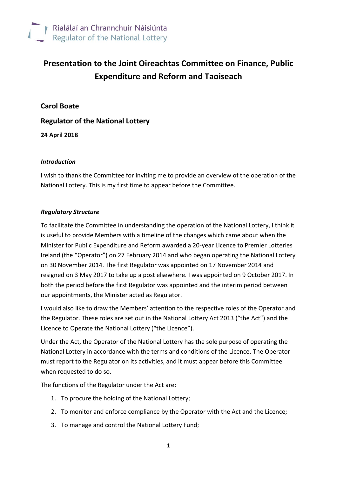

# **Presentation to the Joint Oireachtas Committee on Finance, Public Expenditure and Reform and Taoiseach**

**Carol Boate**

**Regulator of the National Lottery**

**24 April 2018**

#### *Introduction*

I wish to thank the Committee for inviting me to provide an overview of the operation of the National Lottery. This is my first time to appear before the Committee.

#### *Regulatory Structure*

To facilitate the Committee in understanding the operation of the National Lottery, I think it is useful to provide Members with a timeline of the changes which came about when the Minister for Public Expenditure and Reform awarded a 20-year Licence to Premier Lotteries Ireland (the "Operator") on 27 February 2014 and who began operating the National Lottery on 30 November 2014. The first Regulator was appointed on 17 November 2014 and resigned on 3 May 2017 to take up a post elsewhere. I was appointed on 9 October 2017. In both the period before the first Regulator was appointed and the interim period between our appointments, the Minister acted as Regulator.

I would also like to draw the Members' attention to the respective roles of the Operator and the Regulator. These roles are set out in the National Lottery Act 2013 ("the Act") and the Licence to Operate the National Lottery ("the Licence").

Under the Act, the Operator of the National Lottery has the sole purpose of operating the National Lottery in accordance with the terms and conditions of the Licence. The Operator must report to the Regulator on its activities, and it must appear before this Committee when requested to do so.

The functions of the Regulator under the Act are:

- 1. To procure the holding of the National Lottery;
- 2. To monitor and enforce compliance by the Operator with the Act and the Licence;
- 3. To manage and control the National Lottery Fund;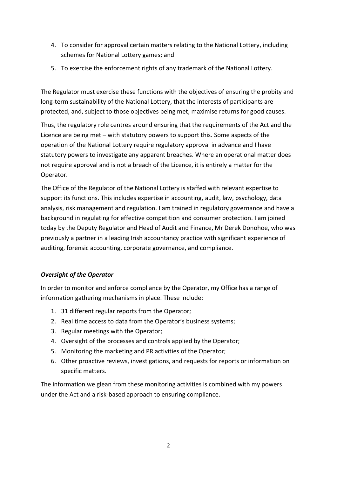- 4. To consider for approval certain matters relating to the National Lottery, including schemes for National Lottery games; and
- 5. To exercise the enforcement rights of any trademark of the National Lottery.

The Regulator must exercise these functions with the objectives of ensuring the probity and long-term sustainability of the National Lottery, that the interests of participants are protected, and, subject to those objectives being met, maximise returns for good causes.

Thus, the regulatory role centres around ensuring that the requirements of the Act and the Licence are being met – with statutory powers to support this. Some aspects of the operation of the National Lottery require regulatory approval in advance and I have statutory powers to investigate any apparent breaches. Where an operational matter does not require approval and is not a breach of the Licence, it is entirely a matter for the Operator.

The Office of the Regulator of the National Lottery is staffed with relevant expertise to support its functions. This includes expertise in accounting, audit, law, psychology, data analysis, risk management and regulation. I am trained in regulatory governance and have a background in regulating for effective competition and consumer protection. I am joined today by the Deputy Regulator and Head of Audit and Finance, Mr Derek Donohoe, who was previously a partner in a leading Irish accountancy practice with significant experience of auditing, forensic accounting, corporate governance, and compliance.

## *Oversight of the Operator*

In order to monitor and enforce compliance by the Operator, my Office has a range of information gathering mechanisms in place. These include:

- 1. 31 different regular reports from the Operator;
- 2. Real time access to data from the Operator's business systems;
- 3. Regular meetings with the Operator;
- 4. Oversight of the processes and controls applied by the Operator;
- 5. Monitoring the marketing and PR activities of the Operator;
- 6. Other proactive reviews, investigations, and requests for reports or information on specific matters.

The information we glean from these monitoring activities is combined with my powers under the Act and a risk-based approach to ensuring compliance.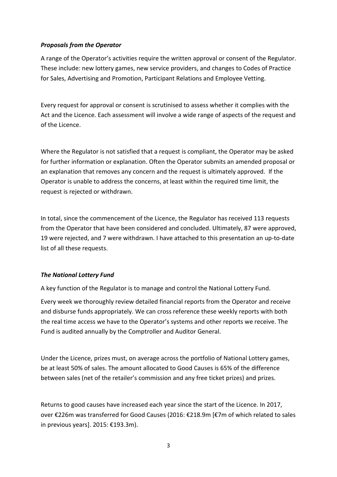#### *Proposals from the Operator*

A range of the Operator's activities require the written approval or consent of the Regulator. These include: new lottery games, new service providers, and changes to Codes of Practice for Sales, Advertising and Promotion, Participant Relations and Employee Vetting.

Every request for approval or consent is scrutinised to assess whether it complies with the Act and the Licence. Each assessment will involve a wide range of aspects of the request and of the Licence.

Where the Regulator is not satisfied that a request is compliant, the Operator may be asked for further information or explanation. Often the Operator submits an amended proposal or an explanation that removes any concern and the request is ultimately approved. If the Operator is unable to address the concerns, at least within the required time limit, the request is rejected or withdrawn.

In total, since the commencement of the Licence, the Regulator has received 113 requests from the Operator that have been considered and concluded. Ultimately, 87 were approved, 19 were rejected, and 7 were withdrawn. I have attached to this presentation an up-to-date list of all these requests.

## *The National Lottery Fund*

A key function of the Regulator is to manage and control the National Lottery Fund.

Every week we thoroughly review detailed financial reports from the Operator and receive and disburse funds appropriately. We can cross reference these weekly reports with both the real time access we have to the Operator's systems and other reports we receive. The Fund is audited annually by the Comptroller and Auditor General.

Under the Licence, prizes must, on average across the portfolio of National Lottery games, be at least 50% of sales. The amount allocated to Good Causes is 65% of the difference between sales (net of the retailer's commission and any free ticket prizes) and prizes.

Returns to good causes have increased each year since the start of the Licence. In 2017, over €226m was transferred for Good Causes (2016: €218.9m [€7m of which related to sales in previous years]. 2015: €193.3m).